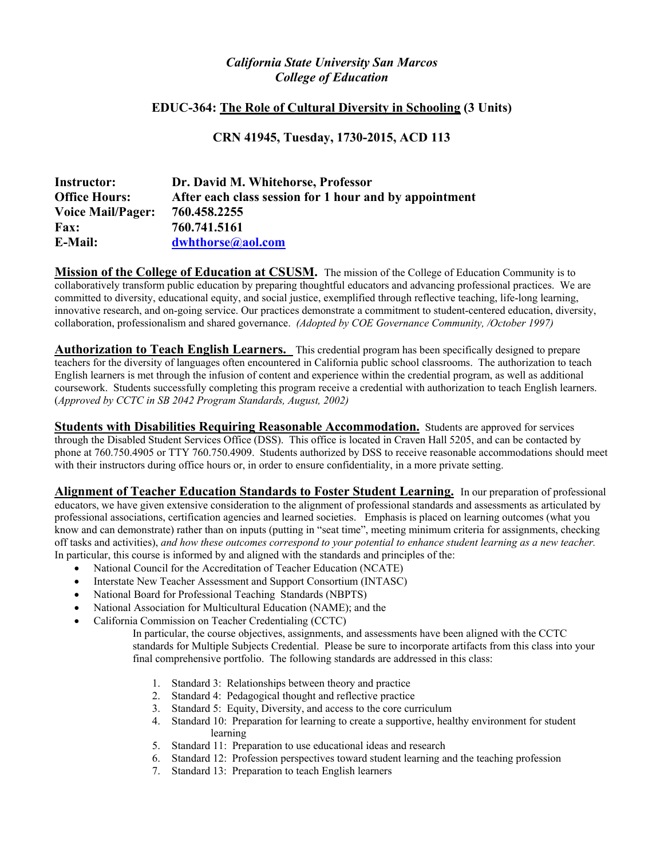# *California State University San Marcos College of Education*

## **EDUC-364: The Role of Cultural Diversity in Schooling (3 Units)**

**CRN 41945, Tuesday, 1730-2015, ACD 113** 

| <b>Instructor:</b>       | Dr. David M. Whitehorse, Professor                     |
|--------------------------|--------------------------------------------------------|
| <b>Office Hours:</b>     | After each class session for 1 hour and by appointment |
| <b>Voice Mail/Pager:</b> | 760.458.2255                                           |
| <b>Fax:</b>              | 760.741.5161                                           |
| <b>E-Mail:</b>           | dwhthorse@aol.com                                      |

**Mission of the College of Education at CSUSM.** The mission of the College of Education Community is to collaboratively transform public education by preparing thoughtful educators and advancing professional practices. We are committed to diversity, educational equity, and social justice, exemplified through reflective teaching, life-long learning, innovative research, and on-going service. Our practices demonstrate a commitment to student-centered education, diversity, collaboration, professionalism and shared governance. *(Adopted by COE Governance Community, /October 1997)* 

**Authorization to Teach English Learners.** This credential program has been specifically designed to prepare teachers for the diversity of languages often encountered in California public school classrooms. The authorization to teach English learners is met through the infusion of content and experience within the credential program, as well as additional coursework. Students successfully completing this program receive a credential with authorization to teach English learners. (*Approved by CCTC in SB 2042 Program Standards, August, 2002)* 

**Students with Disabilities Requiring Reasonable Accommodation.** Students are approved for services through the Disabled Student Services Office (DSS). This office is located in Craven Hall 5205, and can be contacted by phone at 760.750.4905 or TTY 760.750.4909. Students authorized by DSS to receive reasonable accommodations should meet with their instructors during office hours or, in order to ensure confidentiality, in a more private setting.

**Alignment of Teacher Education Standards to Foster Student Learning.** In our preparation of professional educators, we have given extensive consideration to the alignment of professional standards and assessments as articulated by professional associations, certification agencies and learned societies. Emphasis is placed on learning outcomes (what you know and can demonstrate) rather than on inputs (putting in "seat time", meeting minimum criteria for assignments, checking off tasks and activities), *and how these outcomes correspond to your potential to enhance student learning as a new teacher.*  In particular, this course is informed by and aligned with the standards and principles of the:

- National Council for the Accreditation of Teacher Education (NCATE)
- Interstate New Teacher Assessment and Support Consortium (INTASC)
- National Board for Professional Teaching Standards (NBPTS)
- National Association for Multicultural Education (NAME); and the
- California Commission on Teacher Credentialing (CCTC)

 In particular, the course objectives, assignments, and assessments have been aligned with the CCTC standards for Multiple Subjects Credential. Please be sure to incorporate artifacts from this class into your final comprehensive portfolio. The following standards are addressed in this class:

- 1. Standard 3: Relationships between theory and practice
- 2. Standard 4: Pedagogical thought and reflective practice
- 3. Standard 5: Equity, Diversity, and access to the core curriculum
- 4. Standard 10: Preparation for learning to create a supportive, healthy environment for student learning
- 5. Standard 11: Preparation to use educational ideas and research
- 6. Standard 12: Profession perspectives toward student learning and the teaching profession
- 7. Standard 13: Preparation to teach English learners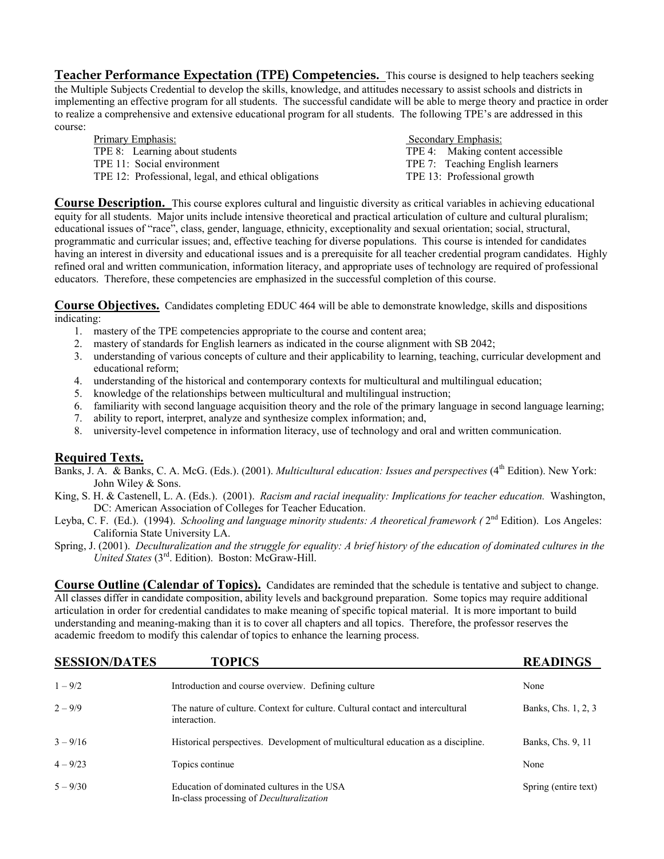**Teacher Performance Expectation (TPE) Competencies.** This course is designed to help teachers seeking the Multiple Subjects Credential to develop the skills, knowledge, and attitudes necessary to assist schools and districts in implementing an effective program for all students. The successful candidate will be able to merge theory and practice in order to realize a comprehensive and extensive educational program for all students. The following TPE's are addressed in this course:

| Primary Emphasis:                                    | Secondary Emphasis: |                                  |
|------------------------------------------------------|---------------------|----------------------------------|
| TPE 8: Learning about students                       |                     | TPE 4: Making content accessible |
| TPE 11: Social environment                           |                     | TPE 7: Teaching English learners |
| TPE 12: Professional, legal, and ethical obligations |                     | TPE 13: Professional growth      |
|                                                      |                     |                                  |

**Course Description.** This course explores cultural and linguistic diversity as critical variables in achieving educational equity for all students. Major units include intensive theoretical and practical articulation of culture and cultural pluralism; educational issues of "race", class, gender, language, ethnicity, exceptionality and sexual orientation; social, structural, programmatic and curricular issues; and, effective teaching for diverse populations. This course is intended for candidates having an interest in diversity and educational issues and is a prerequisite for all teacher credential program candidates. Highly refined oral and written communication, information literacy, and appropriate uses of technology are required of professional educators. Therefore, these competencies are emphasized in the successful completion of this course.

**Course Objectives.** Candidates completing EDUC 464 will be able to demonstrate knowledge, skills and dispositions indicating:

- 1. mastery of the TPE competencies appropriate to the course and content area;
- 2. mastery of standards for English learners as indicated in the course alignment with SB 2042;
- 3. understanding of various concepts of culture and their applicability to learning, teaching, curricular development and educational reform;
- 4. understanding of the historical and contemporary contexts for multicultural and multilingual education;
- 5. knowledge of the relationships between multicultural and multilingual instruction;
- 6. familiarity with second language acquisition theory and the role of the primary language in second language learning;
- 7. ability to report, interpret, analyze and synthesize complex information; and,
- 8. university-level competence in information literacy, use of technology and oral and written communication.

## **Required Texts.**

- Banks, J. A. & Banks, C. A. McG. (Eds.). (2001). *Multicultural education: Issues and perspectives* (4<sup>th</sup> Edition). New York: John Wiley & Sons.
- King, S. H. & Castenell, L. A. (Eds.). (2001). *Racism and racial inequality: Implications for teacher education.* Washington, DC: American Association of Colleges for Teacher Education.
- Leyba, C. F. (Ed.). (1994). *Schooling and language minority students: A theoretical framework (*  $2<sup>nd</sup>$  Edition). Los Angeles: California State University LA.
- Spring, J. (2001). *Deculturalization and the struggle for equality: A brief history of the education of dominated cultures in the United States* (3rd. Edition). Boston: McGraw-Hill.

**Course Outline (Calendar of Topics).** Candidates are reminded that the schedule is tentative and subject to change. All classes differ in candidate composition, ability levels and background preparation. Some topics may require additional articulation in order for credential candidates to make meaning of specific topical material. It is more important to build understanding and meaning-making than it is to cover all chapters and all topics. Therefore, the professor reserves the academic freedom to modify this calendar of topics to enhance the learning process.

| <b>SESSION/DATES</b> | <b>TOPICS</b>                                                                                  | <b>READINGS</b>      |
|----------------------|------------------------------------------------------------------------------------------------|----------------------|
| $1 - 9/2$            | Introduction and course overview. Defining culture                                             | None                 |
| $2 - 9/9$            | The nature of culture. Context for culture. Cultural contact and intercultural<br>interaction. | Banks, Chs. 1, 2, 3  |
| $3 - 9/16$           | Historical perspectives. Development of multicultural education as a discipline.               | Banks, Chs. 9, 11    |
| $4 - 9/23$           | Topics continue                                                                                | None                 |
| $5 - 9/30$           | Education of dominated cultures in the USA<br>In-class processing of <i>Deculturalization</i>  | Spring (entire text) |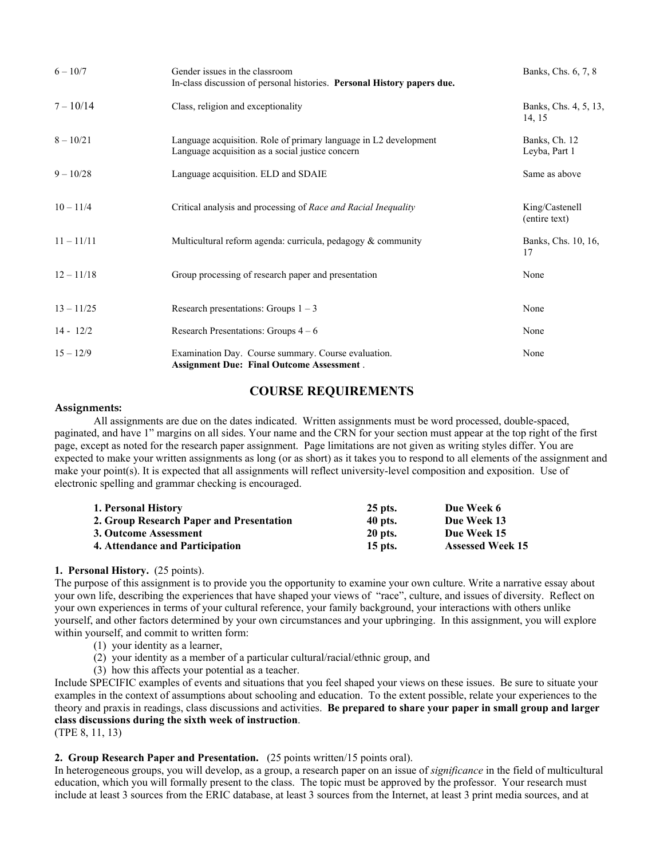| $6 - 10/7$   | Gender issues in the classroom<br>In-class discussion of personal histories. Personal History papers due.            | Banks, Chs. 6, 7, 8             |
|--------------|----------------------------------------------------------------------------------------------------------------------|---------------------------------|
| $7 - 10/14$  | Class, religion and exceptionality                                                                                   | Banks, Chs. 4, 5, 13,<br>14, 15 |
| $8 - 10/21$  | Language acquisition. Role of primary language in L2 development<br>Language acquisition as a social justice concern | Banks, Ch. 12<br>Leyba, Part 1  |
| $9 - 10/28$  | Language acquisition. ELD and SDAIE                                                                                  | Same as above                   |
| $10 - 11/4$  | Critical analysis and processing of Race and Racial Inequality                                                       | King/Castenell<br>(entire text) |
| $11 - 11/11$ | Multicultural reform agenda: curricula, pedagogy & community                                                         | Banks, Chs. 10, 16,<br>17       |
| $12 - 11/18$ | Group processing of research paper and presentation                                                                  | None                            |
| $13 - 11/25$ | Research presentations: Groups $1 - 3$                                                                               | None                            |
| $14 - 12/2$  | Research Presentations: Groups $4-6$                                                                                 | None                            |
| $15 - 12/9$  | Examination Day. Course summary. Course evaluation.<br><b>Assignment Due: Final Outcome Assessment.</b>              | None                            |

# **COURSE REQUIREMENTS**

#### **Assignments:**

All assignments are due on the dates indicated. Written assignments must be word processed, double-spaced, paginated, and have 1" margins on all sides. Your name and the CRN for your section must appear at the top right of the first page, except as noted for the research paper assignment. Page limitations are not given as writing styles differ. You are expected to make your written assignments as long (or as short) as it takes you to respond to all elements of the assignment and make your point(s). It is expected that all assignments will reflect university-level composition and exposition. Use of electronic spelling and grammar checking is encouraged.

| 1. Personal History                      | 25 pts.        | Due Week 6              |
|------------------------------------------|----------------|-------------------------|
| 2. Group Research Paper and Presentation | 40 pts.        | Due Week 13             |
| 3. Outcome Assessment                    | <b>20 pts.</b> | Due Week 15             |
| 4. Attendance and Participation          | $15$ pts.      | <b>Assessed Week 15</b> |

#### **1. Personal History.** (25 points).

The purpose of this assignment is to provide you the opportunity to examine your own culture. Write a narrative essay about your own life, describing the experiences that have shaped your views of "race", culture, and issues of diversity. Reflect on your own experiences in terms of your cultural reference, your family background, your interactions with others unlike yourself, and other factors determined by your own circumstances and your upbringing. In this assignment, you will explore within yourself, and commit to written form:

- (1) your identity as a learner,
- (2) your identity as a member of a particular cultural/racial/ethnic group, and
- (3) how this affects your potential as a teacher.

Include SPECIFIC examples of events and situations that you feel shaped your views on these issues. Be sure to situate your examples in the context of assumptions about schooling and education. To the extent possible, relate your experiences to the theory and praxis in readings, class discussions and activities. **Be prepared to share your paper in small group and larger class discussions during the sixth week of instruction**.

(TPE 8, 11, 13)

#### **2. Group Research Paper and Presentation.** (25 points written/15 points oral).

In heterogeneous groups, you will develop, as a group, a research paper on an issue of *significance* in the field of multicultural education, which you will formally present to the class. The topic must be approved by the professor. Your research must include at least 3 sources from the ERIC database, at least 3 sources from the Internet, at least 3 print media sources, and at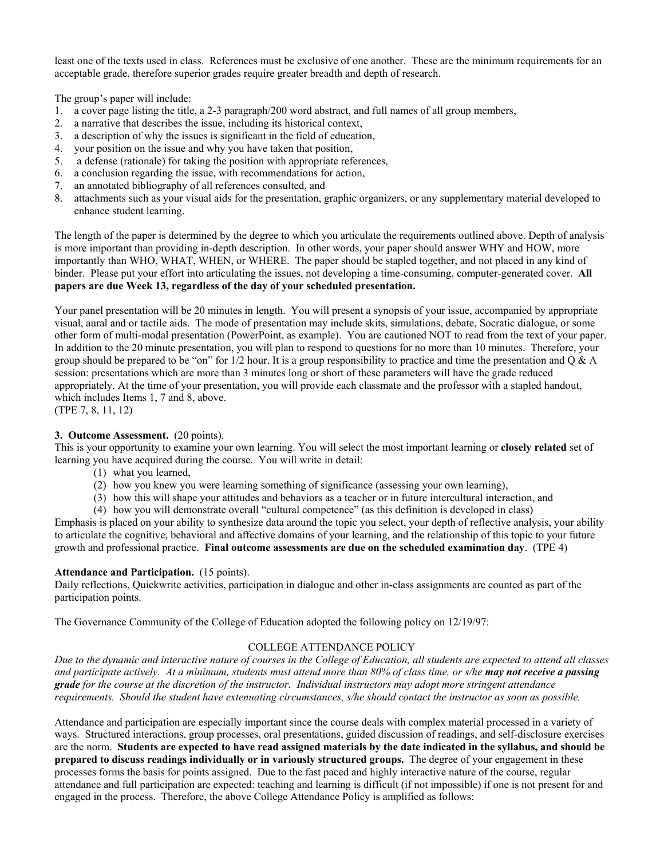least one of the texts used in class. References must be exclusive of one another. These are the minimum requirements for an acceptable grade, therefore superior grades require greater breadth and depth of research.

The group's paper will include:

- 1. a cover page listing the title, a 2-3 paragraph/200 word abstract, and full names of all group members,
- 2. a narrative that describes the issue, including its historical context,
- 3. a description of why the issues is significant in the field of education,
- 4. your position on the issue and why you have taken that position,
- 5. a defense (rationale) for taking the position with appropriate references,
- 6. a conclusion regarding the issue, with recommendations for action,
- 7. an annotated bibliography of all references consulted, and
- 8. attachments such as your visual aids for the presentation, graphic organizers, or any supplementary material developed to enhance student learning.

The length of the paper is determined by the degree to which you articulate the requirements outlined above. Depth of analysis is more important than providing in-depth description. In other words, your paper should answer WHY and HOW, more importantly than WHO, WHAT, WHEN, or WHERE. The paper should be stapled together, and not placed in any kind of binder. Please put your effort into articulating the issues, not developing a time-consuming, computer-generated cover. **All papers are due Week 13, regardless of the day of your scheduled presentation.**

Your panel presentation will be 20 minutes in length. You will present a synopsis of your issue, accompanied by appropriate visual, aural and or tactile aids. The mode of presentation may include skits, simulations, debate, Socratic dialogue, or some other form of multi-modal presentation (PowerPoint, as example). You are cautioned NOT to read from the text of your paper. In addition to the 20 minute presentation, you will plan to respond to questions for no more than 10 minutes. Therefore, your group should be prepared to be "on" for  $1/2$  hour. It is a group responsibility to practice and time the presentation and O & A session: presentations which are more than 3 minutes long or short of these parameters will have the grade reduced appropriately. At the time of your presentation, you will provide each classmate and the professor with a stapled handout, which includes Items 1, 7 and 8, above.

(TPE 7, 8, 11, 12)

#### **3. Outcome Assessment.** (20 points).

This is your opportunity to examine your own learning. You will select the most important learning or **closely related** set of learning you have acquired during the course. You will write in detail:

- (1) what you learned,
- (2) how you knew you were learning something of significance (assessing your own learning),
- (3) how this will shape your attitudes and behaviors as a teacher or in future intercultural interaction, and
- (4) how you will demonstrate overall "cultural competence" (as this definition is developed in class)

Emphasis is placed on your ability to synthesize data around the topic you select, your depth of reflective analysis, your ability to articulate the cognitive, behavioral and affective domains of your learning, and the relationship of this topic to your future growth and professional practice. **Final outcome assessments are due on the scheduled examination day**. (TPE 4)

#### **Attendance and Participation.** (15 points).

Daily reflections, Quickwrite activities, participation in dialogue and other in-class assignments are counted as part of the participation points.

The Governance Community of the College of Education adopted the following policy on 12/19/97:

## COLLEGE ATTENDANCE POLICY

*Due to the dynamic and interactive nature of courses in the College of Education, all students are expected to attend all classes and participate actively. At a minimum, students must attend more than 80% of class time, or s/he may not receive a passing grade for the course at the discretion of the instructor. Individual instructors may adopt more stringent attendance requirements. Should the student have extenuating circumstances, s/he should contact the instructor as soon as possible.* 

Attendance and participation are especially important since the course deals with complex material processed in a variety of ways. Structured interactions, group processes, oral presentations, guided discussion of readings, and self-disclosure exercises are the norm. **Students are expected to have read assigned materials by the date indicated in the syllabus, and should be prepared to discuss readings individually or in variously structured groups.** The degree of your engagement in these processes forms the basis for points assigned. Due to the fast paced and highly interactive nature of the course, regular attendance and full participation are expected: teaching and learning is difficult (if not impossible) if one is not present for and engaged in the process. Therefore, the above College Attendance Policy is amplified as follows: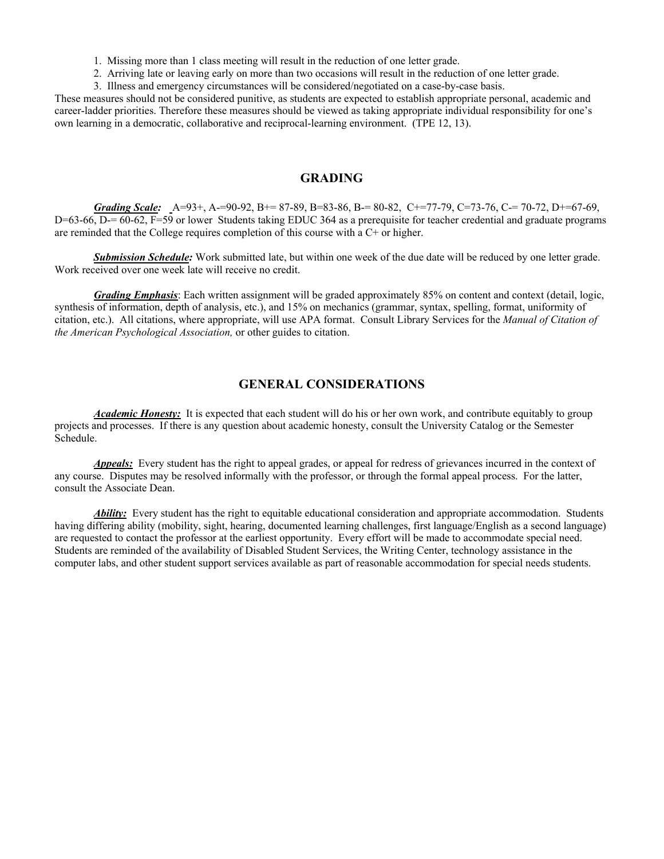1. Missing more than 1 class meeting will result in the reduction of one letter grade.

2. Arriving late or leaving early on more than two occasions will result in the reduction of one letter grade.

3. Illness and emergency circumstances will be considered/negotiated on a case-by-case basis.

These measures should not be considered punitive, as students are expected to establish appropriate personal, academic and career-ladder priorities. Therefore these measures should be viewed as taking appropriate individual responsibility for one's own learning in a democratic, collaborative and reciprocal-learning environment. (TPE 12, 13).

### **GRADING**

*Grading Scale:* A=93+, A-=90-92, B+= 87-89, B=83-86, B-= 80-82, C+=77-79, C=73-76, C-= 70-72, D+=67-69, D=63-66, D-= 60-62, F=59 or lower Students taking EDUC 364 as a prerequisite for teacher credential and graduate programs are reminded that the College requires completion of this course with a C+ or higher.

 *Submission Schedule:* Work submitted late, but within one week of the due date will be reduced by one letter grade. Work received over one week late will receive no credit.

*Grading Emphasis*: Each written assignment will be graded approximately 85% on content and context (detail, logic, synthesis of information, depth of analysis, etc.), and 15% on mechanics (grammar, syntax, spelling, format, uniformity of citation, etc.). All citations, where appropriate, will use APA format. Consult Library Services for the *Manual of Citation of the American Psychological Association,* or other guides to citation.

## **GENERAL CONSIDERATIONS**

*Academic Honesty:* It is expected that each student will do his or her own work, and contribute equitably to group projects and processes. If there is any question about academic honesty, consult the University Catalog or the Semester Schedule.

*Appeals:* Every student has the right to appeal grades, or appeal for redress of grievances incurred in the context of any course. Disputes may be resolved informally with the professor, or through the formal appeal process. For the latter, consult the Associate Dean.

*Ability:* Every student has the right to equitable educational consideration and appropriate accommodation. Students having differing ability (mobility, sight, hearing, documented learning challenges, first language/English as a second language) are requested to contact the professor at the earliest opportunity. Every effort will be made to accommodate special need. Students are reminded of the availability of Disabled Student Services, the Writing Center, technology assistance in the computer labs, and other student support services available as part of reasonable accommodation for special needs students.